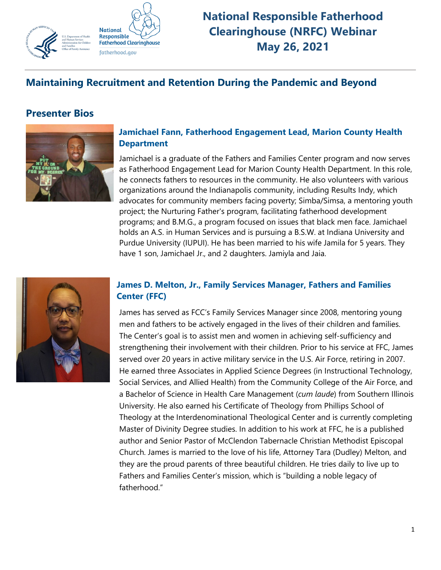

**National Responsible Fatherhood Clearinghouse (NRFC) Webinar May 26, 2021**

# **Maintaining Recruitment and Retention During the Pandemic and Beyond**

## **Presenter Bios**



#### **Jamichael Fann, Fatherhood Engagement Lead, Marion County Health Department**

Jamichael is a graduate of the Fathers and Families Center program and now serves as Fatherhood Engagement Lead for Marion County Health Department. In this role, he connects fathers to resources in the community. He also volunteers with various organizations around the Indianapolis community, including Results Indy, which advocates for community members facing poverty; Simba/Simsa, a mentoring youth project; the Nurturing Father's program, facilitating fatherhood development programs; and B.M.G., a program focused on issues that black men face. Jamichael holds an A.S. in Human Services and is pursuing a B.S.W. at Indiana University and Purdue University (IUPUI). He has been married to his wife Jamila for 5 years. They have 1 son, Jamichael Jr., and 2 daughters. Jamiyla and Jaia.



## **James D. Melton, Jr., Family Services Manager, Fathers and Families Center (FFC)**

James has served as FCC's Family Services Manager since 2008, mentoring young men and fathers to be actively engaged in the lives of their children and families. The Center's goal is to assist men and women in achieving self-sufficiency and strengthening their involvement with their children. Prior to his service at FFC, James served over 20 years in active military service in the U.S. Air Force, retiring in 2007. He earned three Associates in Applied Science Degrees (in Instructional Technology, Social Services, and Allied Health) from the Community College of the Air Force, and a Bachelor of Science in Health Care Management (*cum laude*) from Southern Illinois University. He also earned his Certificate of Theology from Phillips School of Theology at the Interdenominational Theological Center and is currently completing Master of Divinity Degree studies. In addition to his work at FFC, he is a published author and Senior Pastor of McClendon Tabernacle Christian Methodist Episcopal Church. James is married to the love of his life, Attorney Tara (Dudley) Melton, and they are the proud parents of three beautiful children. He tries daily to live up to Fathers and Families Center's mission, which is "building a noble legacy of fatherhood."